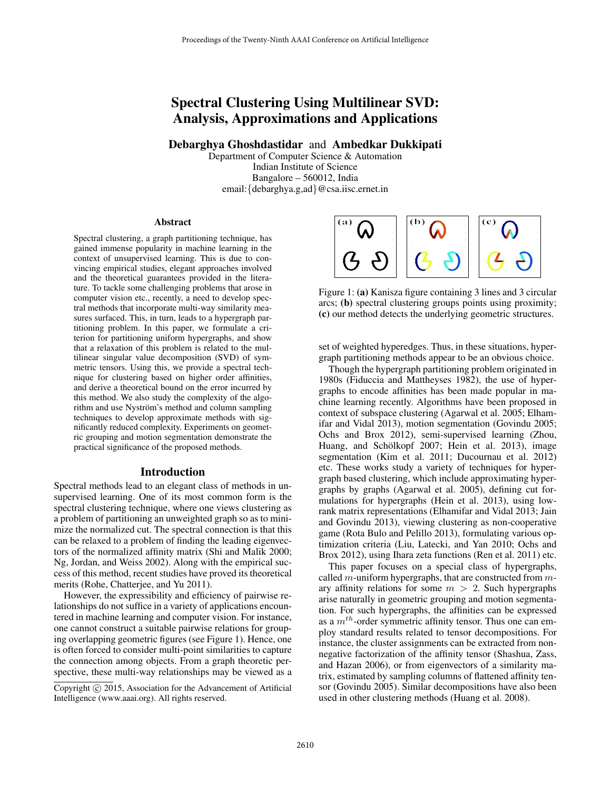# Spectral Clustering Using Multilinear SVD: Analysis, Approximations and Applications

Debarghya Ghoshdastidar and Ambedkar Dukkipati

Department of Computer Science & Automation Indian Institute of Science Bangalore – 560012, India email:{debarghya.g,ad}@csa.iisc.ernet.in

#### Abstract

Spectral clustering, a graph partitioning technique, has gained immense popularity in machine learning in the context of unsupervised learning. This is due to convincing empirical studies, elegant approaches involved and the theoretical guarantees provided in the literature. To tackle some challenging problems that arose in computer vision etc., recently, a need to develop spectral methods that incorporate multi-way similarity measures surfaced. This, in turn, leads to a hypergraph partitioning problem. In this paper, we formulate a criterion for partitioning uniform hypergraphs, and show that a relaxation of this problem is related to the multilinear singular value decomposition (SVD) of symmetric tensors. Using this, we provide a spectral technique for clustering based on higher order affinities, and derive a theoretical bound on the error incurred by this method. We also study the complexity of the algorithm and use Nyström's method and column sampling techniques to develop approximate methods with significantly reduced complexity. Experiments on geometric grouping and motion segmentation demonstrate the practical significance of the proposed methods.

### Introduction

Spectral methods lead to an elegant class of methods in unsupervised learning. One of its most common form is the spectral clustering technique, where one views clustering as a problem of partitioning an unweighted graph so as to minimize the normalized cut. The spectral connection is that this can be relaxed to a problem of finding the leading eigenvectors of the normalized affinity matrix (Shi and Malik 2000; Ng, Jordan, and Weiss 2002). Along with the empirical success of this method, recent studies have proved its theoretical merits (Rohe, Chatterjee, and Yu 2011).

However, the expressibility and efficiency of pairwise relationships do not suffice in a variety of applications encountered in machine learning and computer vision. For instance, one cannot construct a suitable pairwise relations for grouping overlapping geometric figures (see Figure 1). Hence, one is often forced to consider multi-point similarities to capture the connection among objects. From a graph theoretic perspective, these multi-way relationships may be viewed as a



Figure 1: (a) Kanisza figure containing 3 lines and 3 circular arcs; (b) spectral clustering groups points using proximity; (c) our method detects the underlying geometric structures.

set of weighted hyperedges. Thus, in these situations, hypergraph partitioning methods appear to be an obvious choice.

Though the hypergraph partitioning problem originated in 1980s (Fiduccia and Mattheyses 1982), the use of hypergraphs to encode affinities has been made popular in machine learning recently. Algorithms have been proposed in context of subspace clustering (Agarwal et al. 2005; Elhamifar and Vidal 2013), motion segmentation (Govindu 2005; Ochs and Brox 2012), semi-supervised learning (Zhou, Huang, and Schölkopf 2007; Hein et al. 2013), image segmentation (Kim et al. 2011; Ducournau et al. 2012) etc. These works study a variety of techniques for hypergraph based clustering, which include approximating hypergraphs by graphs (Agarwal et al. 2005), defining cut formulations for hypergraphs (Hein et al. 2013), using lowrank matrix representations (Elhamifar and Vidal 2013; Jain and Govindu 2013), viewing clustering as non-cooperative game (Rota Bulo and Pelillo 2013), formulating various optimization criteria (Liu, Latecki, and Yan 2010; Ochs and Brox 2012), using Ihara zeta functions (Ren et al. 2011) etc.

This paper focuses on a special class of hypergraphs, called  $m$ -uniform hypergraphs, that are constructed from  $m$ ary affinity relations for some  $m > 2$ . Such hypergraphs arise naturally in geometric grouping and motion segmentation. For such hypergraphs, the affinities can be expressed as a  $m<sup>th</sup>$ -order symmetric affinity tensor. Thus one can employ standard results related to tensor decompositions. For instance, the cluster assignments can be extracted from nonnegative factorization of the affinity tensor (Shashua, Zass, and Hazan 2006), or from eigenvectors of a similarity matrix, estimated by sampling columns of flattened affinity tensor (Govindu 2005). Similar decompositions have also been used in other clustering methods (Huang et al. 2008).

Copyright © 2015, Association for the Advancement of Artificial Intelligence (www.aaai.org). All rights reserved.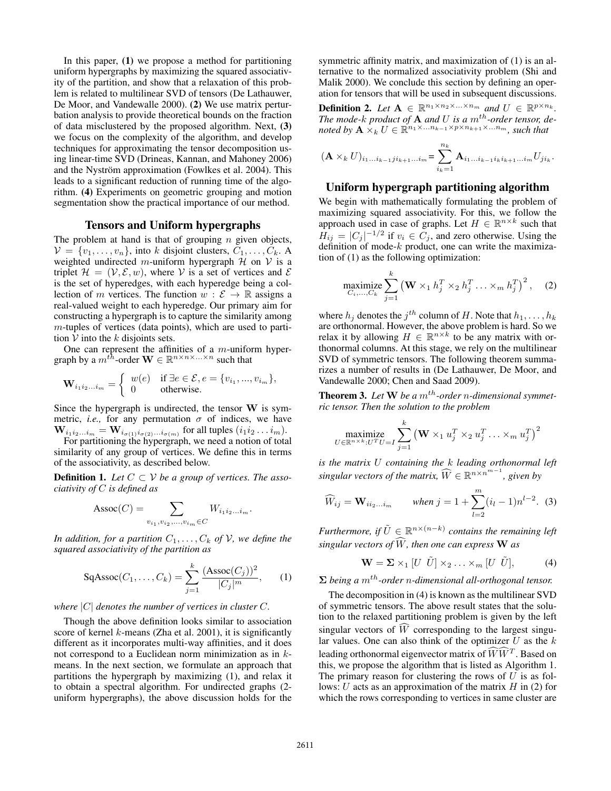In this paper, (1) we propose a method for partitioning uniform hypergraphs by maximizing the squared associativity of the partition, and show that a relaxation of this problem is related to multilinear SVD of tensors (De Lathauwer, De Moor, and Vandewalle 2000). (2) We use matrix perturbation analysis to provide theoretical bounds on the fraction of data misclustered by the proposed algorithm. Next, (3) we focus on the complexity of the algorithm, and develop techniques for approximating the tensor decomposition using linear-time SVD (Drineas, Kannan, and Mahoney 2006) and the Nyström approximation (Fowlkes et al. 2004). This leads to a significant reduction of running time of the algorithm. (4) Experiments on geometric grouping and motion segmentation show the practical importance of our method.

## Tensors and Uniform hypergraphs

The problem at hand is that of grouping  $n$  given objects,  $V = \{v_1, \ldots, v_n\}$ , into k disjoint clusters,  $C_1, \ldots, C_k$ . A weighted undirected m-uniform hypergraph  $H$  on  $V$  is a triplet  $\mathcal{H} = (\mathcal{V}, \mathcal{E}, w)$ , where V is a set of vertices and  $\mathcal{E}$ is the set of hyperedges, with each hyperedge being a collection of m vertices. The function  $w : \mathcal{E} \to \mathbb{R}$  assigns a real-valued weight to each hyperedge. Our primary aim for constructing a hypergraph is to capture the similarity among  $m$ -tuples of vertices (data points), which are used to partition  $V$  into the k disjoints sets.

One can represent the affinities of a  $m$ -uniform hypergraph by a  $m^{th}$ -order  $\mathbf{W} \in \mathbb{R}^{n \times n \times ... \times n}$  such that

$$
\mathbf{W}_{i_1 i_2 \dots i_m} = \begin{cases} w(e) & \text{if } \exists e \in \mathcal{E}, e = \{v_{i_1}, \dots, v_{i_m}\}, \\ 0 & \text{otherwise.} \end{cases}
$$

Since the hypergraph is undirected, the tensor  $W$  is symmetric, *i.e.*, for any permutation  $\sigma$  of indices, we have  $\mathbf{W}_{i_1 i_2 \dots i_m} = \mathbf{W}_{i_{\sigma(1)} i_{\sigma(2)} \dots i_{\sigma(m)}}$  for all tuples  $(i_1 i_2 \dots i_m)$ .

For partitioning the hypergraph, we need a notion of total similarity of any group of vertices. We define this in terms of the associativity, as described below.

**Definition 1.** Let  $C \subset V$  be a group of vertices. The asso*ciativity of* C *is defined as*

$$
Assoc(C) = \sum_{v_{i_1}, v_{i_2}, \dots, v_{i_m} \in C} W_{i_1 i_2 \dots i_m}.
$$

*In addition, for a partition*  $C_1, \ldots, C_k$  *of*  $V$ *, we define the squared associativity of the partition as*

$$
SqAssoc(C_1, ..., C_k) = \sum_{j=1}^{k} \frac{(Assoc(C_j))^2}{|C_j|^m},
$$
 (1)

#### *where* |C| *denotes the number of vertices in cluster* C*.*

Though the above definition looks similar to association score of kernel  $k$ -means (Zha et al. 2001), it is significantly different as it incorporates multi-way affinities, and it does not correspond to a Euclidean norm minimization as in kmeans. In the next section, we formulate an approach that partitions the hypergraph by maximizing (1), and relax it to obtain a spectral algorithm. For undirected graphs (2 uniform hypergraphs), the above discussion holds for the

symmetric affinity matrix, and maximization of (1) is an alternative to the normalized associativity problem (Shi and Malik 2000). We conclude this section by defining an operation for tensors that will be used in subsequent discussions.

**Definition 2.** Let  $A \in \mathbb{R}^{n_1 \times n_2 \times \ldots \times n_m}$  and  $U \in \mathbb{R}^{p \times n_k}$ . *The mode-k product of*  $A$  *and*  $U$  *is a*  $m<sup>th</sup>$ -order tensor, denoted by  $\mathbf{A} \times_k U \in \mathbb{R}^{n_1 \times ... n_{k-1} \times p \times n_{k+1} \times ... n_m}$ , such that

$$
(\mathbf{A} \times_k U)_{i_1...i_{k-1}ji_{k+1}...i_m} = \sum_{i_k=1}^{n_k} \mathbf{A}_{i_1...i_{k-1}i_ki_{k+1}...i_m} U_{ji_k}.
$$

## Uniform hypergraph partitioning algorithm

We begin with mathematically formulating the problem of maximizing squared associativity. For this, we follow the approach used in case of graphs. Let  $H \in \mathbb{R}^{n \times k}$  such that  $H_{ij} = |C_j|^{-1/2}$  if  $v_i \in C_j$ , and zero otherwise. Using the definition of mode- $k$  product, one can write the maximization of (1) as the following optimization:

$$
\underset{C_i,\ldots,C_k}{\text{maximize}} \sum_{j=1}^k \left(\mathbf{W} \times_1 h_j^T \times_2 h_j^T \ldots \times_m h_j^T\right)^2, \quad (2)
$$

where  $h_j$  denotes the  $j^{th}$  column of H. Note that  $h_1, \ldots, h_k$ are orthonormal. However, the above problem is hard. So we relax it by allowing  $H \in \mathbb{R}^{n \times k}$  to be any matrix with orthonormal columns. At this stage, we rely on the multilinear SVD of symmetric tensors. The following theorem summarizes a number of results in (De Lathauwer, De Moor, and Vandewalle 2000; Chen and Saad 2009).

**Theorem 3.** Let  $W$  be a  $m<sup>th</sup>$ -order *n*-dimensional symmet*ric tensor. Then the solution to the problem*

$$
\underset{U \in \mathbb{R}^{n \times k}: U^{T}U = I}{\operatorname{maximize}} \sum_{j=1}^{k} \left( \mathbf{W} \times_{1} u_{j}^{T} \times_{2} u_{j}^{T} \dots \times_{m} u_{j}^{T} \right)^{2}
$$

*is the matrix* U *containing the* k *leading orthonormal left*  $singular vectors of the matrix, \widehat{W} \in \mathbb{R}^{n \times n^{m-1}}$ , given by

$$
\widehat{W}_{ij} = \mathbf{W}_{ii_2...i_m} \qquad \text{when } j = 1 + \sum_{l=2}^{m} (i_l - 1) n^{l-2}. \tag{3}
$$

*Furthermore, if*  $\tilde{U} \in \mathbb{R}^{n \times (n-k)}$  contains the remaining left *singular vectors of*  $\widehat{W}$ *, then one can express* **W** *as* 

$$
\mathbf{W} = \mathbf{\Sigma} \times_1 [U \ \tilde{U}] \times_2 \dots \times_m [U \ \tilde{U}], \tag{4}
$$

 $\Sigma$  *being a*  $m^{th}$ -order *n*-dimensional all-orthogonal tensor.

The decomposition in (4) is known as the multilinear SVD of symmetric tensors. The above result states that the solution to the relaxed partitioning problem is given by the left singular vectors of  $\widehat{W}$  corresponding to the largest singular values. One can also think of the optimizer  $U$  as the  $k$ leading orthonormal eigenvector matrix of  $\widehat{WW}^T$ . Based on this we generate the algorithm that is listed as Algorithm 1. this, we propose the algorithm that is listed as Algorithm 1. The primary reason for clustering the rows of  $U$  is as follows:  $U$  acts as an approximation of the matrix  $H$  in (2) for which the rows corresponding to vertices in same cluster are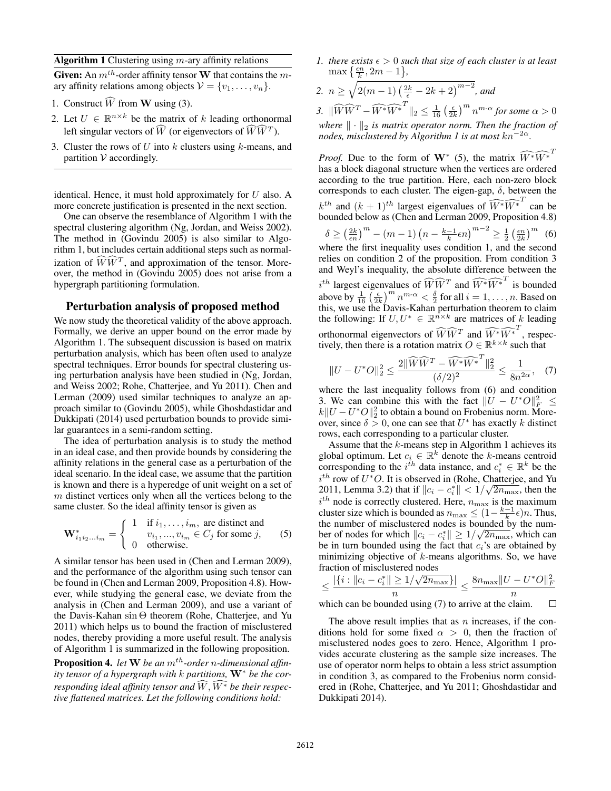Algorithm 1 Clustering using  $m$ -ary affinity relations

Given: An  $m^{th}$ -order affinity tensor W that contains the mary affinity relations among objects  $V = \{v_1, \ldots, v_n\}$ .

- 1. Construct  $\widehat{W}$  from **W** using (3).
- 2. Let  $U \in \mathbb{R}^{n \times k}$  be the matrix of k leading orthonormal left singular vectors of  $\widehat{W}$  (or eigenvectors of  $\widehat{W}\widehat{W}^T$ ).
- 3. Cluster the rows of  $U$  into  $k$  clusters using  $k$ -means, and partition  $V$  accordingly.

identical. Hence, it must hold approximately for  $U$  also. A more concrete justification is presented in the next section.

One can observe the resemblance of Algorithm 1 with the spectral clustering algorithm (Ng, Jordan, and Weiss 2002). The method in (Govindu 2005) is also similar to Algorithm 1, but includes certain additional steps such as normalization of  $\widehat{WW}^T$ , and approximation of the tensor. Moreover, the method in (Govindu 2005) does not arise from a hypergraph partitioning formulation.

## Perturbation analysis of proposed method

We now study the theoretical validity of the above approach. Formally, we derive an upper bound on the error made by Algorithm 1. The subsequent discussion is based on matrix perturbation analysis, which has been often used to analyze spectral techniques. Error bounds for spectral clustering using perturbation analysis have been studied in (Ng, Jordan, and Weiss 2002; Rohe, Chatterjee, and Yu 2011). Chen and Lerman (2009) used similar techniques to analyze an approach similar to (Govindu 2005), while Ghoshdastidar and Dukkipati (2014) used perturbation bounds to provide similar guarantees in a semi-random setting.

The idea of perturbation analysis is to study the method in an ideal case, and then provide bounds by considering the affinity relations in the general case as a perturbation of the ideal scenario. In the ideal case, we assume that the partition is known and there is a hyperedge of unit weight on a set of  $m$  distinct vertices only when all the vertices belong to the same cluster. So the ideal affinity tensor is given as

$$
\mathbf{W}_{i_1 i_2 \dots i_m}^* = \begin{cases} 1 & \text{if } i_1, \dots, i_m, \text{ are distinct and} \\ v_{i_1}, \dots, v_{i_m} \in C_j \text{ for some } j, \\ 0 & \text{otherwise.} \end{cases} \tag{5}
$$

A similar tensor has been used in (Chen and Lerman 2009), and the performance of the algorithm using such tensor can be found in (Chen and Lerman 2009, Proposition 4.8). However, while studying the general case, we deviate from the analysis in (Chen and Lerman 2009), and use a variant of the Davis-Kahan sin Θ theorem (Rohe, Chatterjee, and Yu 2011) which helps us to bound the fraction of misclustered nodes, thereby providing a more useful result. The analysis of Algorithm 1 is summarized in the following proposition.

**Proposition 4.** *let*  $W$  *be an*  $m<sup>th</sup>$ *-order n*-dimensional affin*ity tensor of a hypergraph with* k *partitions,* W<sup>∗</sup> *be the corresponding ideal affinity tensor and*  $\widehat{W}$ ,  $\widehat{W^*}$  *be their respective flattened matrices. Let the following conditions hold:*

*1. there exists*  $\epsilon > 0$  *such that size of each cluster is at least*  $\max\left\{\frac{\epsilon n}{k}, 2m-1\right\},\$ 

2. 
$$
n \ge \sqrt{2(m-1)\left(\frac{2k}{\epsilon} - 2k + 2\right)^{m-2}}
$$
, and

3.  $\|\widehat{W}\widehat{W}^T - \widehat{W^*}\widehat{W^*}^T\|_2 \leq \frac{1}{16} \left(\frac{\epsilon}{2k}\right)^m n^{m\cdot\alpha}$  for some  $\alpha > 0$ *where*  $\|\cdot\|_2$  *is matrix operator norm. Then the fraction of nodes, misclustered by Algorithm 1 is at most*  $kn^{-2\alpha}$ .

*Proof.* Due to the form of W<sup>∗</sup> (5), the matrix  $\widehat{W^*}^T$ has a block diagonal structure when the vertices are ordered according to the true partition. Here, each non-zero block corresponds to each cluster. The eigen-gap,  $\delta$ , between the  $k^{th}$  and  $(k + 1)^{th}$  largest eigenvalues of  $\widehat{W^*} \widehat{W^*}^T$  can be bounded below as (Chen and Lerman 2009, Proposition 4.8)  $\delta \ge \left(\frac{2k}{\epsilon n}\right)^m - (m-1)\left(n - \frac{k-1}{k}\epsilon n\right)^{m-2} \ge \frac{1}{2}\left(\frac{\epsilon n}{2k}\right)^m$  (6) where the first inequality uses condition 1, and the second relies on condition 2 of the proposition. From condition 3 and Weyl's inequality, the absolute difference between the  $i^{th}$  largest eigenvalues of  $\widehat{W}\widehat{W}^T$  and  $\widehat{W^*}\widehat{W^*}^T$  is bounded above by  $\frac{1}{16} \left( \frac{\epsilon}{2k} \right)^m n^{m-\alpha} < \frac{\delta}{2}$  for all  $i = 1, \ldots, n$ . Based on this, we use the Davis-Kahan perturbation theorem to claim the following: If  $U, U^* \in \mathbb{R}^{n \times k}$  are matrices of k leading orthonormal eigenvectors of  $\widehat{W}\widehat{W}^T$  and  $\widehat{W^*}\widehat{W^*}^T$ , respectively, then there is a rotation matrix  $O \in \mathbb{R}^{k \times k}$  such that

$$
||U - U^*O||_2^2 \le \frac{2||\widehat{W}\widehat{W}^T - \widehat{W^*}\widehat{W^*}^T||_2^2}{(\delta/2)^2} \le \frac{1}{8n^{2\alpha}}, \quad (7)
$$

where the last inequality follows from (6) and condition 3. We can combine this with the fact  $||U - U^*O||_F^2 \le$  $k$ ∥ $U - U^*O||_2^2$  to obtain a bound on Frobenius norm. Moreover, since  $\delta > 0$ , one can see that  $U^*$  has exactly k distinct rows, each corresponding to a particular cluster.

Assume that the  $k$ -means step in Algorithm 1 achieves its global optimum. Let  $c_i \in \mathbb{R}^k$  denote the k-means centroid corresponding to the  $i^{\hat{t}h}$  data instance, and  $c_i^* \in \mathbb{R}^k$  be the  $i^{th}$  row of  $U^*O$ . It is observed in (Rohe, Chatterjee, and Yu 2011, Lemma 3.2) that if  $||c_i - c_i^*|| < 1/\sqrt{2n_{\max}}$ , then the  $i^{th}$  node is correctly clustered. Here,  $n_{\text{max}}$  is the maximum cluster size which is bounded as  $n_{\text{max}} \leq (1 - \frac{k-1}{k}\epsilon)n$ . Thus, the number of misclustered nodes is bounded by the number of nodes for which  $||c_i - c_i^*|| \ge 1/\sqrt{2n_{\max}}$ , which can be in turn bounded using the fact that  $c_i$ 's are obtained by minimizing objective of  $k$ -means algorithms. So, we have fraction of misclustered nodes

$$
\leq \frac{|\{i : \|c_i - c_i^*\| \geq 1/\sqrt{2n_{\max}}\}|}{n} \leq \frac{8n_{\max} \|U - U^*O\|_F^2}{n}
$$

which can be bounded using (7) to arrive at the claim.  $\Box$ 

The above result implies that as  $n$  increases, if the conditions hold for some fixed  $\alpha > 0$ , then the fraction of misclustered nodes goes to zero. Hence, Algorithm 1 provides accurate clustering as the sample size increases. The use of operator norm helps to obtain a less strict assumption in condition 3, as compared to the Frobenius norm considered in (Rohe, Chatterjee, and Yu 2011; Ghoshdastidar and Dukkipati 2014).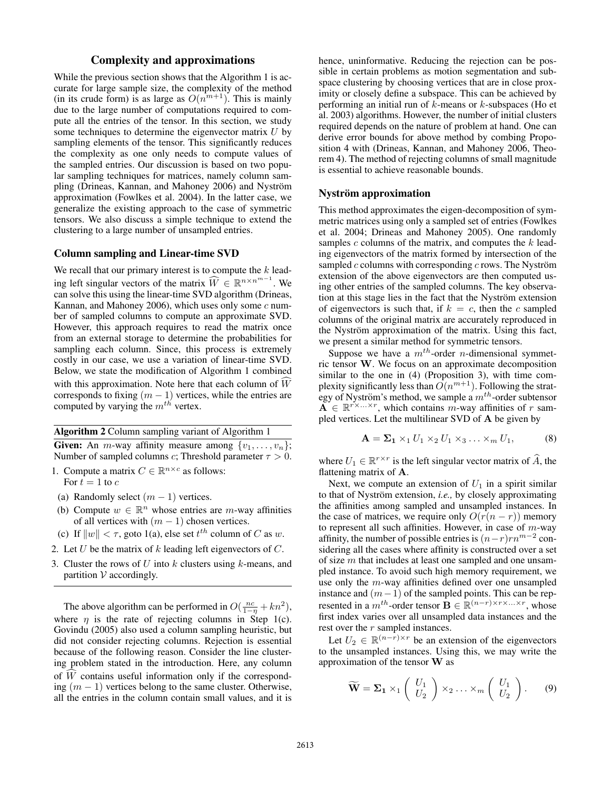## Complexity and approximations

While the previous section shows that the Algorithm 1 is accurate for large sample size, the complexity of the method (in its crude form) is as large as  $O(n^{m+1})$ . This is mainly due to the large number of computations required to compute all the entries of the tensor. In this section, we study some techniques to determine the eigenvector matrix  $U$  by sampling elements of the tensor. This significantly reduces the complexity as one only needs to compute values of the sampled entries. Our discussion is based on two popular sampling techniques for matrices, namely column sampling (Drineas, Kannan, and Mahoney 2006) and Nyström approximation (Fowlkes et al. 2004). In the latter case, we generalize the existing approach to the case of symmetric tensors. We also discuss a simple technique to extend the clustering to a large number of unsampled entries.

## Column sampling and Linear-time SVD

We recall that our primary interest is to compute the  $k$  leading left singular vectors of the matrix  $\widehat{W} \in \mathbb{R}^{n \times n^{m-1}}$ . We can solve this using the linear-time SVD algorithm (Drineas, Kannan, and Mahoney 2006), which uses only some  $c$  number of sampled columns to compute an approximate SVD. However, this approach requires to read the matrix once from an external storage to determine the probabilities for sampling each column. Since, this process is extremely costly in our case, we use a variation of linear-time SVD. Below, we state the modification of Algorithm 1 combined with this approximation. Note here that each column of  $\widehat{W}$ corresponds to fixing  $(m - 1)$  vertices, while the entries are computed by varying the  $m^{th}$  vertex.

#### Algorithm 2 Column sampling variant of Algorithm 1

Given: An *m*-way affinity measure among  $\{v_1, \ldots, v_n\}$ ; Number of sampled columns *c*; Threshold parameter  $\tau > 0$ .

- 1. Compute a matrix  $C \in \mathbb{R}^{n \times c}$  as follows: For  $t = 1$  to  $c$
- (a) Randomly select  $(m 1)$  vertices.
- (b) Compute  $w \in \mathbb{R}^n$  whose entries are m-way affinities of all vertices with  $(m - 1)$  chosen vertices.
- (c) If  $||w|| < \tau$ , goto 1(a), else set  $t^{th}$  column of C as w.
- 2. Let  $U$  be the matrix of  $k$  leading left eigenvectors of  $C$ .
- 3. Cluster the rows of U into k clusters using k-means, and partition  $V$  accordingly.

The above algorithm can be performed in  $O(\frac{nc}{1-\eta} + kn^2)$ , where  $\eta$  is the rate of rejecting columns in Step 1(c). Govindu (2005) also used a column sampling heuristic, but did not consider rejecting columns. Rejection is essential because of the following reason. Consider the line clustering problem stated in the introduction. Here, any column of  $\overline{W}$  contains useful information only if the corresponding  $(m - 1)$  vertices belong to the same cluster. Otherwise, all the entries in the column contain small values, and it is

hence, uninformative. Reducing the rejection can be possible in certain problems as motion segmentation and subspace clustering by choosing vertices that are in close proximity or closely define a subspace. This can be achieved by performing an initial run of  $k$ -means or  $k$ -subspaces (Ho et al. 2003) algorithms. However, the number of initial clusters required depends on the nature of problem at hand. One can derive error bounds for above method by combing Proposition 4 with (Drineas, Kannan, and Mahoney 2006, Theorem 4). The method of rejecting columns of small magnitude is essential to achieve reasonable bounds.

### Nyström approximation

This method approximates the eigen-decomposition of symmetric matrices using only a sampled set of entries (Fowlkes et al. 2004; Drineas and Mahoney 2005). One randomly samples  $c$  columns of the matrix, and computes the  $k$  leading eigenvectors of the matrix formed by intersection of the sampled  $c$  columns with corresponding  $c$  rows. The Nyström extension of the above eigenvectors are then computed using other entries of the sampled columns. The key observation at this stage lies in the fact that the Nyström extension of eigenvectors is such that, if  $k = c$ , then the c sampled columns of the original matrix are accurately reproduced in the Nyström approximation of the matrix. Using this fact, we present a similar method for symmetric tensors.

Suppose we have a  $m^{th}$ -order *n*-dimensional symmetric tensor W. We focus on an approximate decomposition similar to the one in (4) (Proposition 3), with time complexity significantly less than  $O(n^{m+1})$ . Following the strategy of Nyström's method, we sample a  $m^{th}$ -order subtensor  $\mathbf{A} \in \mathbb{R}^{r \times \ldots \times r}$ , which contains m-way affinities of r sampled vertices. Let the multilinear SVD of A be given by

$$
\mathbf{A} = \mathbf{\Sigma_1} \times_1 U_1 \times_2 U_1 \times_3 \dots \times_m U_1,\tag{8}
$$

where  $U_1 \in \mathbb{R}^{r \times r}$  is the left singular vector matrix of  $\hat{A}$ , the flattening matrix of A.

Next, we compute an extension of  $U_1$  in a spirit similar to that of Nyström extension, *i.e.*, by closely approximating the affinities among sampled and unsampled instances. In the case of matrices, we require only  $O(r(n - r))$  memory to represent all such affinities. However, in case of  $m$ -way affinity, the number of possible entries is  $(n-r)rn^{m-2}$  considering all the cases where affinity is constructed over a set of size m that includes at least one sampled and one unsampled instance. To avoid such high memory requirement, we use only the m-way affinities defined over one unsampled instance and  $(m-1)$  of the sampled points. This can be represented in a  $m^{th}$ -order tensor  $\mathbf{B} \in \mathbb{R}^{(n-r) \times r \times \ldots \times r}$ , whose first index varies over all unsampled data instances and the rest over the  $r$  sampled instances.

Let  $U_2 \in \mathbb{R}^{(n-r)\times r}$  be an extension of the eigenvectors to the unsampled instances. Using this, we may write the approximation of the tensor W as

$$
\widetilde{\mathbf{W}} = \Sigma_1 \times_1 \left( \begin{array}{c} U_1 \\ U_2 \end{array} \right) \times_2 \ldots \times_m \left( \begin{array}{c} U_1 \\ U_2 \end{array} \right). \tag{9}
$$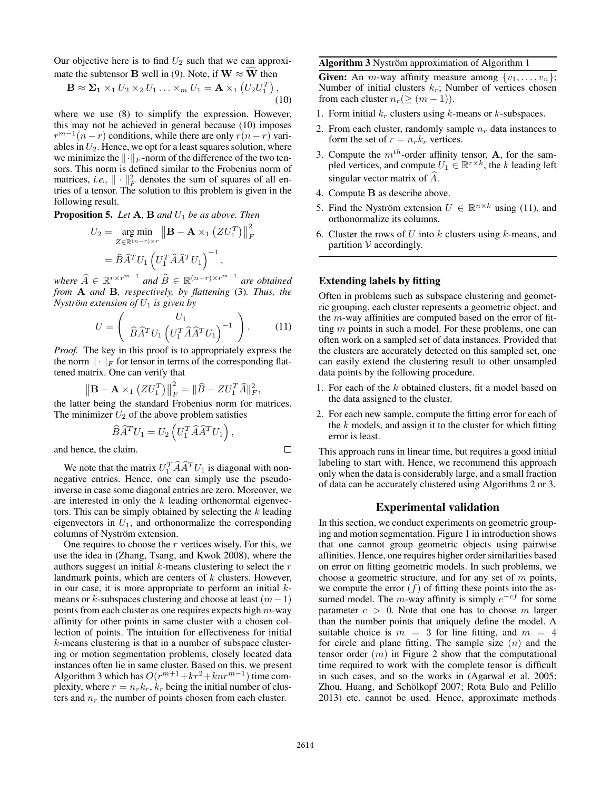Our objective here is to find  $U_2$  such that we can approximate the subtensor **B** well in (9). Note, if  $W \approx W$  then

$$
\mathbf{B} \approx \Sigma_1 \times_1 U_2 \times_2 U_1 \dots \times_m U_1 = \mathbf{A} \times_1 (U_2 U_1^T),
$$
\n(10)

where we use (8) to simplify the expression. However, this may not be achieved in general because (10) imposes  $r^{m-1}(n-r)$  conditions, while there are only  $r(n-r)$  variables in  $U_2$ . Hence, we opt for a least squares solution, where we minimize the  $\Vert \cdot \Vert_F$ -norm of the difference of the two tensors. This norm is defined similar to the Frobenius norm of matrices, *i.e.*,  $\|\cdot\|^2_F$  denotes the sum of squares of all entries of a tensor. The solution to this problem is given in the following result.

**Proposition 5.** *Let*  $A$ ,  $B$  *and*  $U_1$  *be as above. Then* 

$$
U_2 = \underset{Z \in \mathbb{R}^{(n-r)\times r}}{\arg \min} \left\| \mathbf{B} - \mathbf{A} \times_1 (Z U_1^T) \right\|_F^2
$$

$$
= \widehat{B} \widehat{A}^T U_1 \left( U_1^T \widehat{A} \widehat{A}^T U_1 \right)^{-1},
$$

*where*  $\widehat{A} \in \mathbb{R}^{r \times r^{m-1}}$  and  $\widehat{B} \in \mathbb{R}^{(n-r) \times r^{m-1}}$  are obtained *from* A *and* B*, respectively, by flattening* (3)*. Thus, the Nyström extension of*  $U_1$  *is given by* 

$$
U = \left(\begin{array}{c} U_1 \\ \widehat{B}\widehat{A}^T U_1 \left( U_1^T \widehat{A}\widehat{A}^T U_1 \right)^{-1} \end{array}\right). \tag{11}
$$

*Proof.* The key in this proof is to appropriately express the the norm  $\|\cdot\|_F$  for tensor in terms of the corresponding flattened matrix. One can verify that

$$
\left\|\mathbf{B}-\mathbf{A}\times_1\left(ZU_1^T\right)\right\|_F^2=\|\widehat{B}-ZU_1^T\widehat{A}\|_F^2,
$$

the latter being the standard Frobenius norm for matrices. The minimizer  $U_2$  of the above problem satisfies

$$
\widehat{B}\widehat{A}^T U_1 = U_2 \left( U_1^T \widehat{A} \widehat{A}^T U_1 \right),
$$

and hence, the claim.

We note that the matrix  $U_1^T \hat{A} \hat{A}^T U_1$  is diagonal with nonnegative entries. Hence, one can simply use the pseudoinverse in case some diagonal entries are zero. Moreover, we are interested in only the  $k$  leading orthonormal eigenvectors. This can be simply obtained by selecting the  $k$  leading eigenvectors in  $U_1$ , and orthonormalize the corresponding columns of Nyström extension.

One requires to choose the  $r$  vertices wisely. For this, we use the idea in (Zhang, Tsang, and Kwok 2008), where the authors suggest an initial  $k$ -means clustering to select the  $r$ landmark points, which are centers of  $k$  clusters. However, in our case, it is more appropriate to perform an initial  $k$ means or k-subspaces clustering and choose at least  $(m-1)$ points from each cluster as one requires expects high  $m$ -way affinity for other points in same cluster with a chosen collection of points. The intuition for effectiveness for initial k-means clustering is that in a number of subspace clustering or motion segmentation problems, closely located data instances often lie in same cluster. Based on this, we present Algorithm 3 which has  $O(r^{m+1}+kr^2+knr^{m-1})$  time complexity, where  $r = n_r k_r$ ,  $k_r$  being the initial number of clusters and  $n_r$  the number of points chosen from each cluster.

#### Algorithm 3 Nyström approximation of Algorithm 1

**Given:** An *m*-way affinity measure among  $\{v_1, \ldots, v_n\}$ ; Number of initial clusters  $k_r$ ; Number of vertices chosen from each cluster  $n_r (\geq (m-1))$ .

- 1. Form initial  $k_r$  clusters using k-means or k-subspaces.
- 2. From each cluster, randomly sample  $n_r$  data instances to form the set of  $r = n_r k_r$  vertices.
- 3. Compute the  $m^{th}$ -order affinity tensor, **A**, for the sampled vertices, and compute  $U_1 \in \mathbb{R}^{r \times k}$ , the k leading left singular vector matrix of  $\ddot{A}$ .
- 4. Compute B as describe above.
- 5. Find the Nyström extension  $U \in \mathbb{R}^{n \times k}$  using (11), and orthonormalize its columns.
- 6. Cluster the rows of U into k clusters using k-means, and partition  $V$  accordingly.

### Extending labels by fitting

Often in problems such as subspace clustering and geometric grouping, each cluster represents a geometric object, and the  $m$ -way affinities are computed based on the error of fitting m points in such a model. For these problems, one can often work on a sampled set of data instances. Provided that the clusters are accurately detected on this sampled set, one can easily extend the clustering result to other unsampled data points by the following procedure.

- 1. For each of the k obtained clusters, fit a model based on the data assigned to the cluster.
- 2. For each new sample, compute the fitting error for each of the  $k$  models, and assign it to the cluster for which fitting error is least.

This approach runs in linear time, but requires a good initial labeling to start with. Hence, we recommend this approach only when the data is considerably large, and a small fraction of data can be accurately clustered using Algorithms 2 or 3.

### Experimental validation

In this section, we conduct experiments on geometric grouping and motion segmentation. Figure 1 in introduction shows that one cannot group geometric objects using pairwise affinities. Hence, one requires higher order similarities based on error on fitting geometric models. In such problems, we choose a geometric structure, and for any set of  $m$  points, we compute the error  $(f)$  of fitting these points into the assumed model. The m-way affinity is simply  $e^{-cf}$  for some parameter  $c > 0$ . Note that one has to choose m larger than the number points that uniquely define the model. A suitable choice is  $m = 3$  for line fitting, and  $m = 4$ for circle and plane fitting. The sample size  $(n)$  and the tensor order  $(m)$  in Figure 2 show that the computational time required to work with the complete tensor is difficult in such cases, and so the works in (Agarwal et al. 2005; Zhou, Huang, and Schölkopf 2007; Rota Bulo and Pelillo 2013) etc. cannot be used. Hence, approximate methods

 $\Box$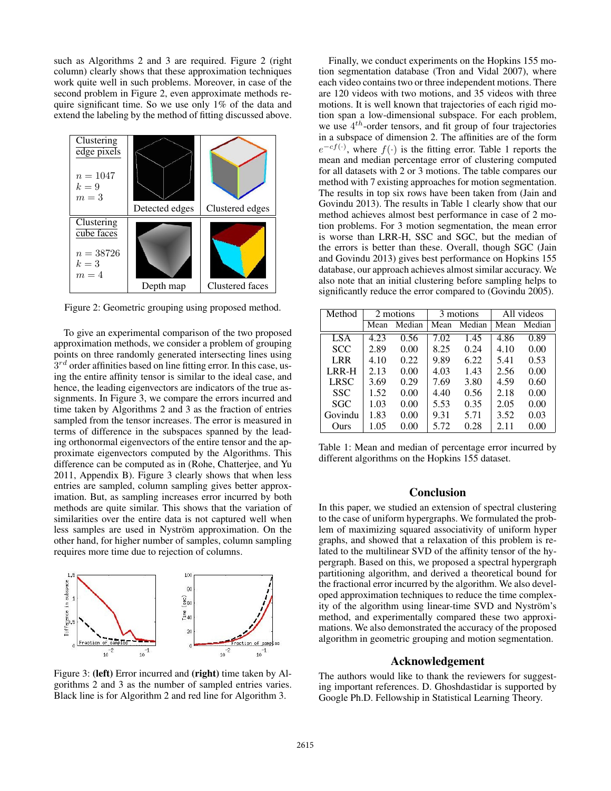such as Algorithms 2 and 3 are required. Figure 2 (right column) clearly shows that these approximation techniques work quite well in such problems. Moreover, in case of the second problem in Figure 2, even approximate methods require significant time. So we use only 1% of the data and extend the labeling by the method of fitting discussed above.



Figure 2: Geometric grouping using proposed method.

To give an experimental comparison of the two proposed approximation methods, we consider a problem of grouping points on three randomly generated intersecting lines using  $3^{rd}$  order affinities based on line fitting error. In this case, using the entire affinity tensor is similar to the ideal case, and hence, the leading eigenvectors are indicators of the true assignments. In Figure 3, we compare the errors incurred and time taken by Algorithms 2 and 3 as the fraction of entries sampled from the tensor increases. The error is measured in terms of difference in the subspaces spanned by the leading orthonormal eigenvectors of the entire tensor and the approximate eigenvectors computed by the Algorithms. This difference can be computed as in (Rohe, Chatterjee, and Yu 2011, Appendix B). Figure 3 clearly shows that when less entries are sampled, column sampling gives better approximation. But, as sampling increases error incurred by both methods are quite similar. This shows that the variation of similarities over the entire data is not captured well when less samples are used in Nyström approximation. On the other hand, for higher number of samples, column sampling requires more time due to rejection of columns.



Figure 3: (left) Error incurred and (right) time taken by Algorithms 2 and 3 as the number of sampled entries varies. Black line is for Algorithm 2 and red line for Algorithm 3.

Finally, we conduct experiments on the Hopkins 155 motion segmentation database (Tron and Vidal 2007), where each video contains two or three independent motions. There are 120 videos with two motions, and 35 videos with three motions. It is well known that trajectories of each rigid motion span a low-dimensional subspace. For each problem, we use  $4^{th}$ -order tensors, and fit group of four trajectories in a subspace of dimension 2. The affinities are of the form  $e^{-cf(\cdot)}$ , where  $f(\cdot)$  is the fitting error. Table 1 reports the mean and median percentage error of clustering computed for all datasets with 2 or 3 motions. The table compares our method with 7 existing approaches for motion segmentation. The results in top six rows have been taken from (Jain and Govindu 2013). The results in Table 1 clearly show that our method achieves almost best performance in case of 2 motion problems. For 3 motion segmentation, the mean error is worse than LRR-H, SSC and SGC, but the median of the errors is better than these. Overall, though SGC (Jain and Govindu 2013) gives best performance on Hopkins 155 database, our approach achieves almost similar accuracy. We also note that an initial clustering before sampling helps to significantly reduce the error compared to (Govindu 2005).

| Method     | 2 motions |                   | 3 motions |        | All videos |        |
|------------|-----------|-------------------|-----------|--------|------------|--------|
|            | Mean      | Median            | Mean      | Median | Mean       | Median |
| LSA        | 4.23      | $\overline{0.56}$ | 7.02      | 1.45   | 4.86       | 0.89   |
| <b>SCC</b> | 2.89      | 0.00              | 8.25      | 0.24   | 4.10       | 0.00   |
| LRR        | 4.10      | 0.22              | 9.89      | 6.22   | 5.41       | 0.53   |
| LRR-H      | 2.13      | 0.00              | 4.03      | 1.43   | 2.56       | 0.00   |
| LRSC       | 3.69      | 0.29              | 7.69      | 3.80   | 4.59       | 0.60   |
| <b>SSC</b> | 1.52      | 0.00              | 4.40      | 0.56   | 2.18       | 0.00   |
| SGC        | 1.03      | 0.00              | 5.53      | 0.35   | 2.05       | 0.00   |
| Govindu    | 1.83      | 0.00              | 9.31      | 5.71   | 3.52       | 0.03   |
| Ours       | 1.05      | 0.00              | 5.72      | 0.28   | 2.11       | 0.00   |

Table 1: Mean and median of percentage error incurred by different algorithms on the Hopkins 155 dataset.

## Conclusion

In this paper, we studied an extension of spectral clustering to the case of uniform hypergraphs. We formulated the problem of maximizing squared associativity of uniform hyper graphs, and showed that a relaxation of this problem is related to the multilinear SVD of the affinity tensor of the hypergraph. Based on this, we proposed a spectral hypergraph partitioning algorithm, and derived a theoretical bound for the fractional error incurred by the algorithm. We also developed approximation techniques to reduce the time complexity of the algorithm using linear-time SVD and Nyström's method, and experimentally compared these two approximations. We also demonstrated the accuracy of the proposed algorithm in geometric grouping and motion segmentation.

## Acknowledgement

The authors would like to thank the reviewers for suggesting important references. D. Ghoshdastidar is supported by Google Ph.D. Fellowship in Statistical Learning Theory.